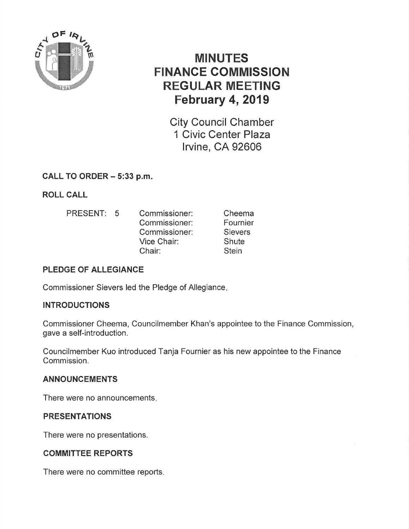

# MINUTES FINANCE COMMISSION **REGULAR MEETING** February 4, 2019

City Council Chamber 1 Civic Center Plaza lrvine, CA 92606

# CALL TO ORDER - 5:33 p.m

ROLL CALL

PRESENT: 5 Commissioner: Commissioner: Commissioner: Vice Chair: Chair: Cheema Fournier **Sievers Shute Stein** 

## PLEDGE OF ALLEGIANCE

Commissioner Sievers led the Pledge of Allegiance

#### INTRODUCTIONS

Commissioner Cheema, Councilmember Khan's appointee to the Finance Commission, gave a self-introduction.

Councilmember Kuo introduced Tanja Fournier as his new appointee to the Finance Commission,

#### ANNOUNCEMENTS

There were no announcements

#### PRESENTATIONS

There were no presentations.

## COMMITTEE REPORTS

There were no committee reports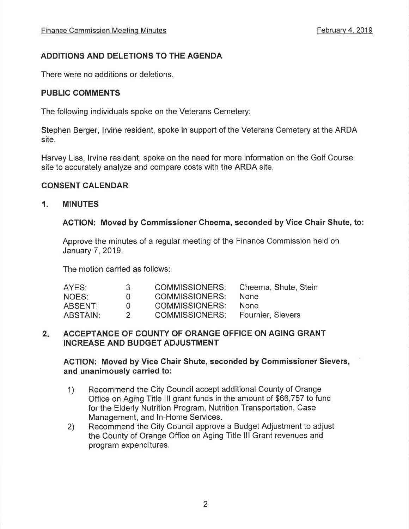## ADDITIONS AND DELETIONS TO THE AGENDA

There were no additions or deletions.

#### PUBLIC COMMENTS

The following individuals spoke on the Veterans Cemetery:

Stephen Berger, lrvine resident, spoke in support of the Veterans Cemetery at the ARDA site.

Harvey Liss, lrvine resident, spoke on the need for more information on the Golf Course site to accurately analyze and compare costs with the ARDA site.

#### CONSENT CALENDAR

#### 1, MINUTES

#### AGTION: Moved by Commissioner Cheema, seconded by Vice Chair Shute, to:

Approve the minutes of a regular meeting of the Finance Commission held on January 7,2019.

The motion carried as follows

| AYES:    | - 3-        | <b>COMMISSIONERS:</b> | Cheema, Shute, Stein     |
|----------|-------------|-----------------------|--------------------------|
| NOES:    | <b>U</b>    | COMMISSIONERS:        | <b>None</b>              |
| ABSENT:  | $^{\prime}$ | <b>COMMISSIONERS:</b> | <b>None</b>              |
| ABSTAIN: |             | COMMISSIONERS:        | <b>Fournier, Sievers</b> |

#### 2. ACCEPTANCE OF COUNTY OF ORANGE OFFICE ON AGING GRANT INCREASE AND BUDGET ADJUSTMENT

#### AGTION: Moved by Vice Ghair Shute, seconded by Gommissioner Sievers, and unanimously carried to:

- 1) Recommend the City Council accept additional County of Orange Office on Aging Title lll grant funds in the amount of \$66,757 to fund for the Elderly Nutrition Program, Nutrition Transportation, Case Management, and ln-Home Services.
- 2) Recommend the City Council approve a Budget Adjustment to adjust the County of Orange Office on Aging Title lll Grant revenues and program expenditures.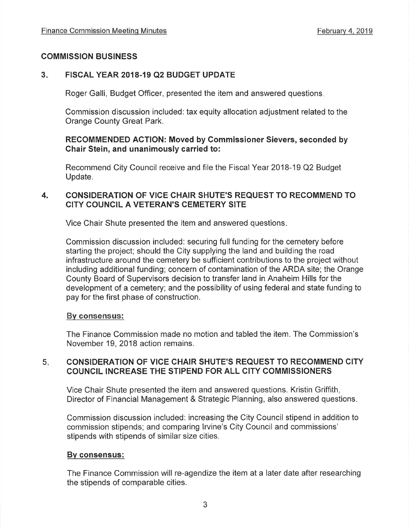#### COMMISSION BUSINESS

#### $3<sub>1</sub>$ FISCAL YEAR 2018-19 Q2 BUDGET UPDATE

Roger Galli, Budget Officer, presented the item and answered questions

Commission discussion included: tax equity allocation adjustment related to the Orange County Great Park.

#### RECOMMENDED ACTION: Moved by Gommissioner Sievers, seconded by Chair Stein, and unanimously carried to:

Recommend City Council receive and file the Fiscal Year 2018-19 Q2 Budget Update.

#### CONSIDERATION OF VICE CHAIR SHUTE'S REQUEST TO RECOMMEND TO CITY COUNCIL A VETERAN'S CEMETERY SITE 4.

Vice Chair Shute presented the item and answered questions

Commission discussion included: securing full funding for the cemetery before starting the project; should the City supplying the land and building the road infrastructure around the cemetery be sufficient contributions to the project without including additional funding; concern of contamination of the ARDA site; the Orange County Board of Supervisors decision to transfer land in Anaheim Hills for the development of a cemetery; and the possibility of using federal and state funding to pay for the first phase of construction.

#### Bv consensus:

The Finance Commission made no motion and tabled the item. The Commission's November 19,2018 action remains.

#### CONSIDERATION OF VICE CHAIR SHUTE'S REQUEST TO RECOMMEND CITY COUNCIL INCREASE THE STIPEND FOR ALL CITY COMMISSIONERS  $5<sub>i</sub>$

Vice Chair Shute presented the item and answered questions. Kristin Griffith, Director of Financial Management & Strategic Planning, also answered questions

Commission discussion included: increasing the City Council stipend in addition to commission stipends; and comparing lrvine's City Council and commissions' stipends with stipends of similar size cities.

#### Bv consensus:

The Finance Commission will re-agendize the item at a later date after researching the stipends of comparable cities.